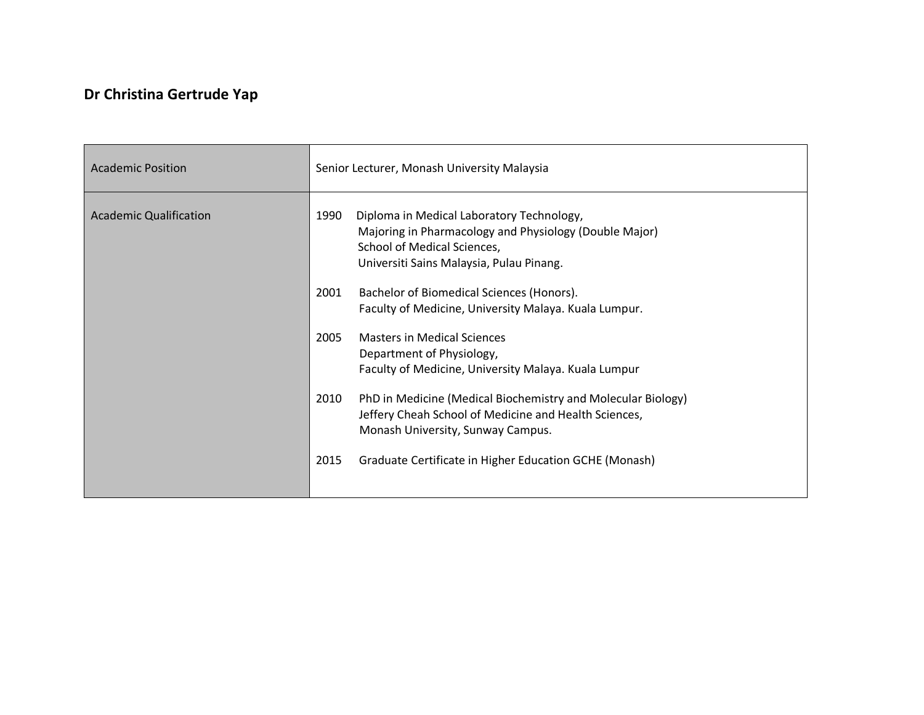## **Dr Christina Gertrude Yap**

| <b>Academic Position</b>      | Senior Lecturer, Monash University Malaysia                                                                                                                                            |
|-------------------------------|----------------------------------------------------------------------------------------------------------------------------------------------------------------------------------------|
| <b>Academic Qualification</b> | 1990<br>Diploma in Medical Laboratory Technology,<br>Majoring in Pharmacology and Physiology (Double Major)<br>School of Medical Sciences,<br>Universiti Sains Malaysia, Pulau Pinang. |
|                               | 2001<br>Bachelor of Biomedical Sciences (Honors).<br>Faculty of Medicine, University Malaya. Kuala Lumpur.                                                                             |
|                               | 2005<br><b>Masters in Medical Sciences</b><br>Department of Physiology,<br>Faculty of Medicine, University Malaya. Kuala Lumpur                                                        |
|                               | PhD in Medicine (Medical Biochemistry and Molecular Biology)<br>2010<br>Jeffery Cheah School of Medicine and Health Sciences,<br>Monash University, Sunway Campus.                     |
|                               | 2015<br>Graduate Certificate in Higher Education GCHE (Monash)                                                                                                                         |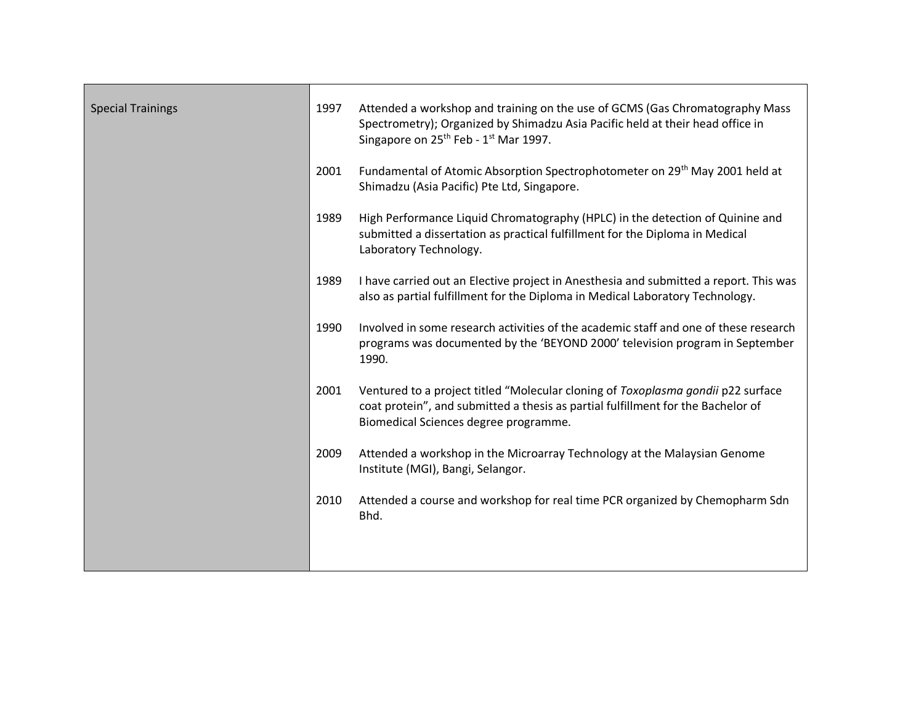| <b>Special Trainings</b> | 1997 | Attended a workshop and training on the use of GCMS (Gas Chromatography Mass<br>Spectrometry); Organized by Shimadzu Asia Pacific held at their head office in<br>Singapore on 25 <sup>th</sup> Feb - 1 <sup>st</sup> Mar 1997. |
|--------------------------|------|---------------------------------------------------------------------------------------------------------------------------------------------------------------------------------------------------------------------------------|
|                          | 2001 | Fundamental of Atomic Absorption Spectrophotometer on 29 <sup>th</sup> May 2001 held at<br>Shimadzu (Asia Pacific) Pte Ltd, Singapore.                                                                                          |
|                          | 1989 | High Performance Liquid Chromatography (HPLC) in the detection of Quinine and<br>submitted a dissertation as practical fulfillment for the Diploma in Medical<br>Laboratory Technology.                                         |
|                          | 1989 | I have carried out an Elective project in Anesthesia and submitted a report. This was<br>also as partial fulfillment for the Diploma in Medical Laboratory Technology.                                                          |
|                          | 1990 | Involved in some research activities of the academic staff and one of these research<br>programs was documented by the 'BEYOND 2000' television program in September<br>1990.                                                   |
|                          | 2001 | Ventured to a project titled "Molecular cloning of Toxoplasma gondii p22 surface<br>coat protein", and submitted a thesis as partial fulfillment for the Bachelor of<br>Biomedical Sciences degree programme.                   |
|                          | 2009 | Attended a workshop in the Microarray Technology at the Malaysian Genome<br>Institute (MGI), Bangi, Selangor.                                                                                                                   |
|                          | 2010 | Attended a course and workshop for real time PCR organized by Chemopharm Sdn<br>Bhd.                                                                                                                                            |
|                          |      |                                                                                                                                                                                                                                 |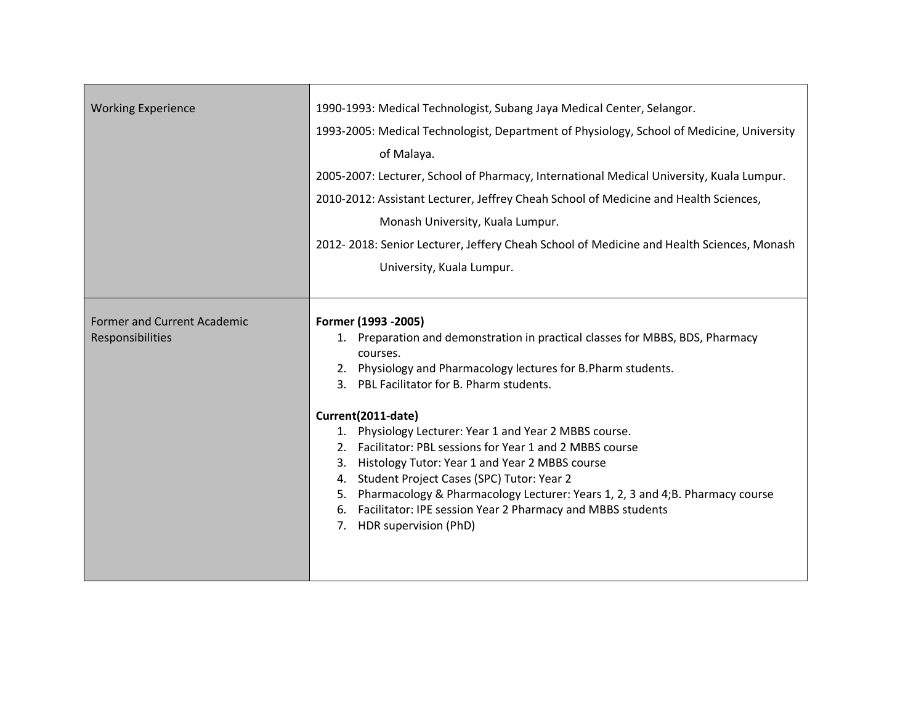| <b>Working Experience</b>                              | 1990-1993: Medical Technologist, Subang Jaya Medical Center, Selangor.<br>1993-2005: Medical Technologist, Department of Physiology, School of Medicine, University<br>of Malaya.<br>2005-2007: Lecturer, School of Pharmacy, International Medical University, Kuala Lumpur.<br>2010-2012: Assistant Lecturer, Jeffrey Cheah School of Medicine and Health Sciences,<br>Monash University, Kuala Lumpur.<br>2012-2018: Senior Lecturer, Jeffery Cheah School of Medicine and Health Sciences, Monash<br>University, Kuala Lumpur.                                                                                                                                |
|--------------------------------------------------------|-------------------------------------------------------------------------------------------------------------------------------------------------------------------------------------------------------------------------------------------------------------------------------------------------------------------------------------------------------------------------------------------------------------------------------------------------------------------------------------------------------------------------------------------------------------------------------------------------------------------------------------------------------------------|
| <b>Former and Current Academic</b><br>Responsibilities | Former (1993 - 2005)<br>1. Preparation and demonstration in practical classes for MBBS, BDS, Pharmacy<br>courses.<br>2. Physiology and Pharmacology lectures for B.Pharm students.<br>3. PBL Facilitator for B. Pharm students.<br>Current(2011-date)<br>1. Physiology Lecturer: Year 1 and Year 2 MBBS course.<br>2. Facilitator: PBL sessions for Year 1 and 2 MBBS course<br>3. Histology Tutor: Year 1 and Year 2 MBBS course<br>4. Student Project Cases (SPC) Tutor: Year 2<br>5. Pharmacology & Pharmacology Lecturer: Years 1, 2, 3 and 4;B. Pharmacy course<br>6. Facilitator: IPE session Year 2 Pharmacy and MBBS students<br>7. HDR supervision (PhD) |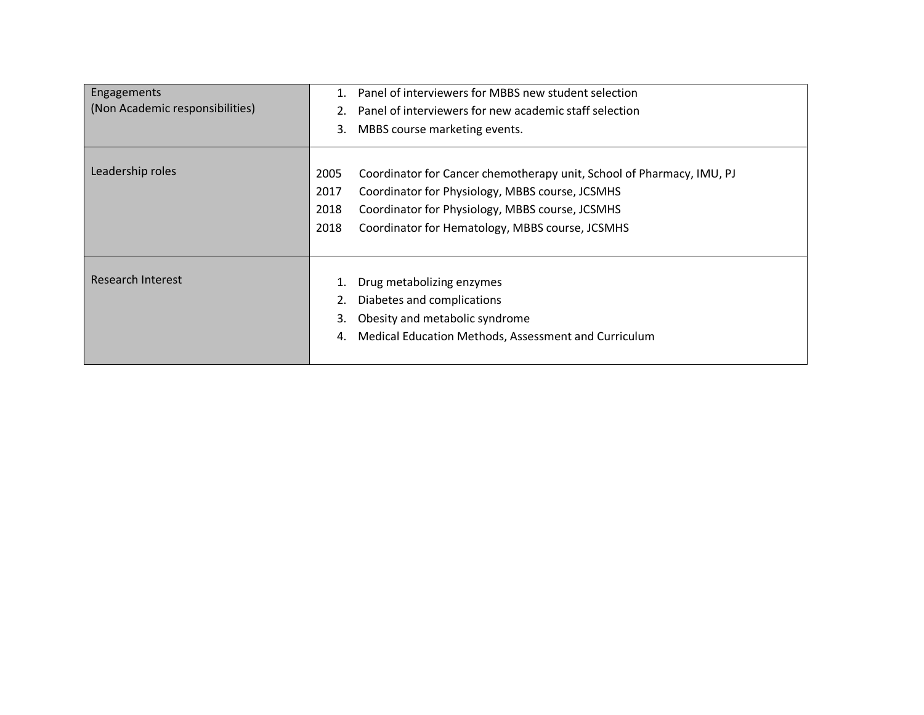| Engagements                     | 1.   | Panel of interviewers for MBBS new student selection                  |
|---------------------------------|------|-----------------------------------------------------------------------|
| (Non Academic responsibilities) |      | Panel of interviewers for new academic staff selection                |
|                                 | 3.   | MBBS course marketing events.                                         |
| Leadership roles                | 2005 | Coordinator for Cancer chemotherapy unit, School of Pharmacy, IMU, PJ |
|                                 | 2017 | Coordinator for Physiology, MBBS course, JCSMHS                       |
|                                 | 2018 | Coordinator for Physiology, MBBS course, JCSMHS                       |
|                                 | 2018 | Coordinator for Hematology, MBBS course, JCSMHS                       |
|                                 |      |                                                                       |
| Research Interest               | 1.   | Drug metabolizing enzymes                                             |
|                                 |      | Diabetes and complications                                            |
|                                 | 3.   | Obesity and metabolic syndrome                                        |
|                                 | 4.   | Medical Education Methods, Assessment and Curriculum                  |
|                                 |      |                                                                       |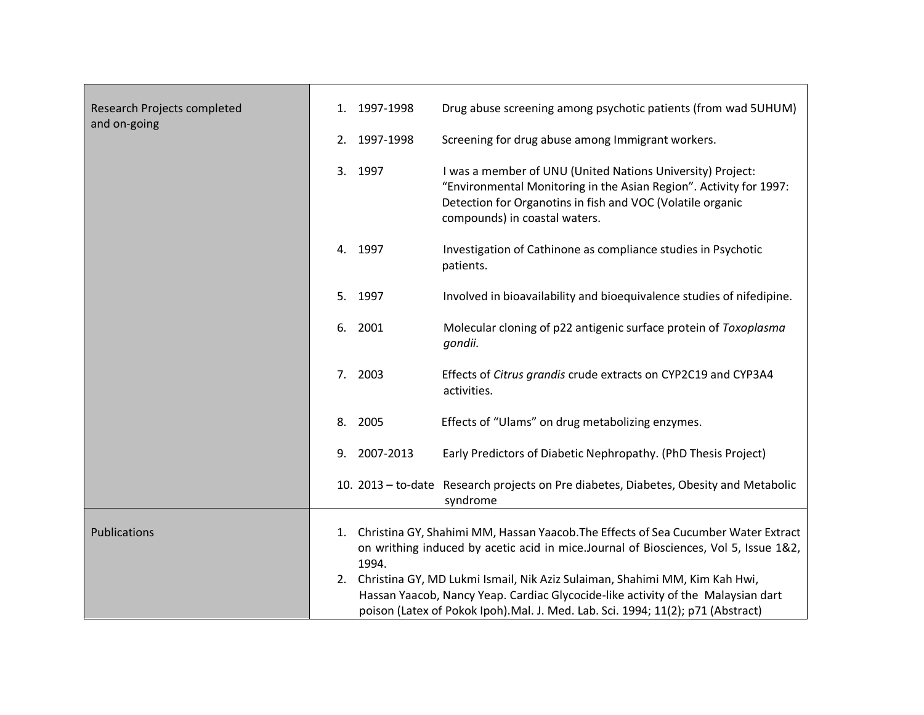| Research Projects completed<br>and on-going | 1.<br>2. | 1997-1998<br>1997-1998 | Drug abuse screening among psychotic patients (from wad 5UHUM)<br>Screening for drug abuse among Immigrant workers.                                                                                                                                      |
|---------------------------------------------|----------|------------------------|----------------------------------------------------------------------------------------------------------------------------------------------------------------------------------------------------------------------------------------------------------|
|                                             | 3.       | 1997                   | I was a member of UNU (United Nations University) Project:<br>"Environmental Monitoring in the Asian Region". Activity for 1997:<br>Detection for Organotins in fish and VOC (Volatile organic<br>compounds) in coastal waters.                          |
|                                             |          | 4. 1997                | Investigation of Cathinone as compliance studies in Psychotic<br>patients.                                                                                                                                                                               |
|                                             | 5.       | 1997                   | Involved in bioavailability and bioequivalence studies of nifedipine.                                                                                                                                                                                    |
|                                             | 6.       | 2001                   | Molecular cloning of p22 antigenic surface protein of Toxoplasma<br>gondii.                                                                                                                                                                              |
|                                             | 7.       | 2003                   | Effects of Citrus grandis crude extracts on CYP2C19 and CYP3A4<br>activities.                                                                                                                                                                            |
|                                             | 8.       | 2005                   | Effects of "Ulams" on drug metabolizing enzymes.                                                                                                                                                                                                         |
|                                             | 9.       | 2007-2013              | Early Predictors of Diabetic Nephropathy. (PhD Thesis Project)                                                                                                                                                                                           |
|                                             |          |                        | 10. 2013 - to-date Research projects on Pre diabetes, Diabetes, Obesity and Metabolic<br>syndrome                                                                                                                                                        |
| Publications                                | 1.<br>2. | 1994.                  | Christina GY, Shahimi MM, Hassan Yaacob. The Effects of Sea Cucumber Water Extract<br>on writhing induced by acetic acid in mice.Journal of Biosciences, Vol 5, Issue 1&2,<br>Christina GY, MD Lukmi Ismail, Nik Aziz Sulaiman, Shahimi MM, Kim Kah Hwi, |
|                                             |          |                        | Hassan Yaacob, Nancy Yeap. Cardiac Glycocide-like activity of the Malaysian dart<br>poison (Latex of Pokok Ipoh).Mal. J. Med. Lab. Sci. 1994; 11(2); p71 (Abstract)                                                                                      |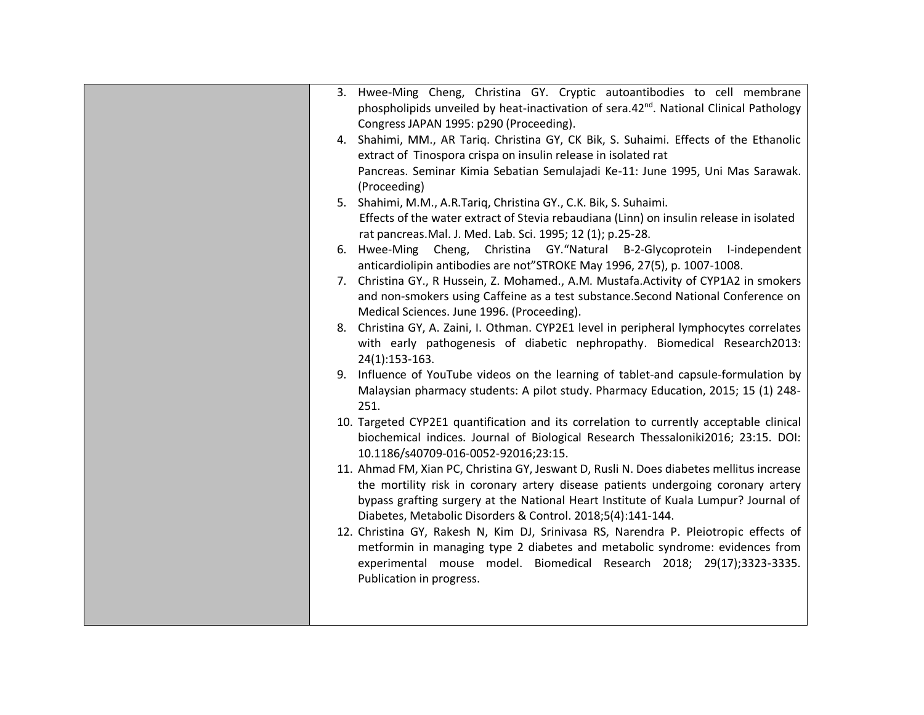|    | 3. Hwee-Ming Cheng, Christina GY. Cryptic autoantibodies to cell membrane                          |
|----|----------------------------------------------------------------------------------------------------|
|    | phospholipids unveiled by heat-inactivation of sera.42 <sup>nd</sup> . National Clinical Pathology |
|    | Congress JAPAN 1995: p290 (Proceeding).                                                            |
|    | 4. Shahimi, MM., AR Tariq. Christina GY, CK Bik, S. Suhaimi. Effects of the Ethanolic              |
|    | extract of Tinospora crispa on insulin release in isolated rat                                     |
|    | Pancreas. Seminar Kimia Sebatian Semulajadi Ke-11: June 1995, Uni Mas Sarawak.                     |
|    | (Proceeding)                                                                                       |
|    | 5. Shahimi, M.M., A.R.Tariq, Christina GY., C.K. Bik, S. Suhaimi.                                  |
|    | Effects of the water extract of Stevia rebaudiana (Linn) on insulin release in isolated            |
|    | rat pancreas. Mal. J. Med. Lab. Sci. 1995; 12 (1); p.25-28.                                        |
| 6. | Hwee-Ming Cheng, Christina GY. "Natural B-2-Glycoprotein I-independent                             |
|    | anticardiolipin antibodies are not"STROKE May 1996, 27(5), p. 1007-1008.                           |
|    | 7. Christina GY., R Hussein, Z. Mohamed., A.M. Mustafa.Activity of CYP1A2 in smokers               |
|    | and non-smokers using Caffeine as a test substance. Second National Conference on                  |
|    | Medical Sciences. June 1996. (Proceeding).                                                         |
|    | 8. Christina GY, A. Zaini, I. Othman. CYP2E1 level in peripheral lymphocytes correlates            |
|    | with early pathogenesis of diabetic nephropathy. Biomedical Research2013:                          |
|    | 24(1):153-163.                                                                                     |
|    | 9. Influence of YouTube videos on the learning of tablet-and capsule-formulation by                |
|    | Malaysian pharmacy students: A pilot study. Pharmacy Education, 2015; 15 (1) 248-                  |
|    | 251.                                                                                               |
|    | 10. Targeted CYP2E1 quantification and its correlation to currently acceptable clinical            |
|    | biochemical indices. Journal of Biological Research Thessaloniki2016; 23:15. DOI:                  |
|    | 10.1186/s40709-016-0052-92016;23:15.                                                               |
|    | 11. Ahmad FM, Xian PC, Christina GY, Jeswant D, Rusli N. Does diabetes mellitus increase           |
|    | the mortility risk in coronary artery disease patients undergoing coronary artery                  |
|    | bypass grafting surgery at the National Heart Institute of Kuala Lumpur? Journal of                |
|    | Diabetes, Metabolic Disorders & Control. 2018;5(4):141-144.                                        |
|    | 12. Christina GY, Rakesh N, Kim DJ, Srinivasa RS, Narendra P. Pleiotropic effects of               |
|    | metformin in managing type 2 diabetes and metabolic syndrome: evidences from                       |
|    | experimental mouse model. Biomedical Research 2018; 29(17);3323-3335.                              |
|    | Publication in progress.                                                                           |
|    |                                                                                                    |
|    |                                                                                                    |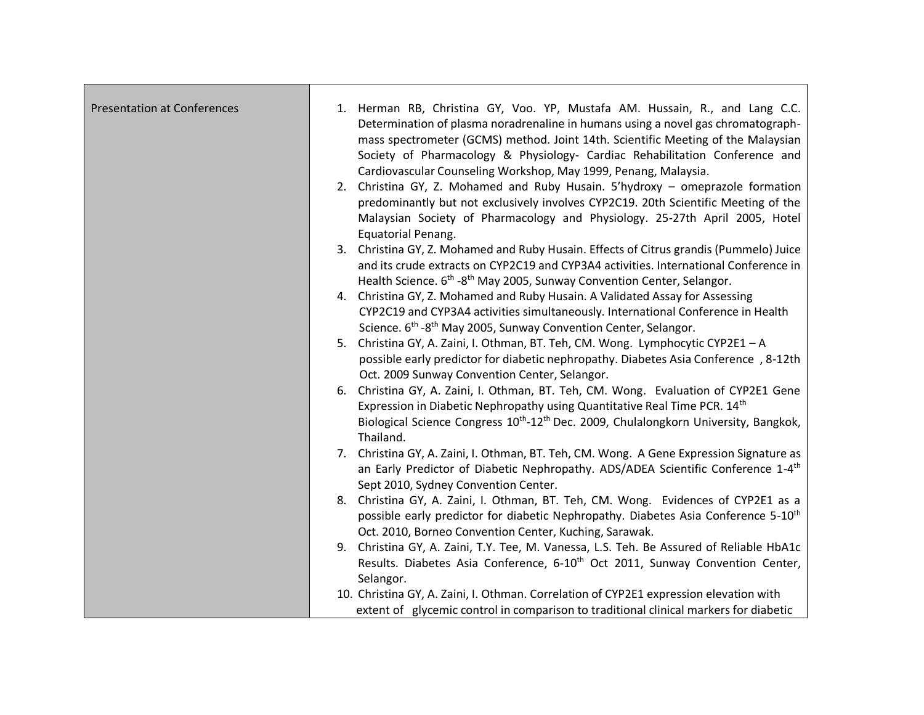| <b>Presentation at Conferences</b> | 1. Herman RB, Christina GY, Voo. YP, Mustafa AM. Hussain, R., and Lang C.C.<br>Determination of plasma noradrenaline in humans using a novel gas chromatograph-<br>mass spectrometer (GCMS) method. Joint 14th. Scientific Meeting of the Malaysian<br>Society of Pharmacology & Physiology- Cardiac Rehabilitation Conference and<br>Cardiovascular Counseling Workshop, May 1999, Penang, Malaysia. |
|------------------------------------|-------------------------------------------------------------------------------------------------------------------------------------------------------------------------------------------------------------------------------------------------------------------------------------------------------------------------------------------------------------------------------------------------------|
|                                    | 2. Christina GY, Z. Mohamed and Ruby Husain. 5'hydroxy - omeprazole formation<br>predominantly but not exclusively involves CYP2C19. 20th Scientific Meeting of the<br>Malaysian Society of Pharmacology and Physiology. 25-27th April 2005, Hotel<br><b>Equatorial Penang.</b>                                                                                                                       |
|                                    | 3. Christina GY, Z. Mohamed and Ruby Husain. Effects of Citrus grandis (Pummelo) Juice<br>and its crude extracts on CYP2C19 and CYP3A4 activities. International Conference in<br>Health Science. 6 <sup>th</sup> -8 <sup>th</sup> May 2005, Sunway Convention Center, Selangor.                                                                                                                      |
|                                    | 4. Christina GY, Z. Mohamed and Ruby Husain. A Validated Assay for Assessing<br>CYP2C19 and CYP3A4 activities simultaneously. International Conference in Health<br>Science. 6 <sup>th</sup> -8 <sup>th</sup> May 2005, Sunway Convention Center, Selangor.                                                                                                                                           |
|                                    | 5. Christina GY, A. Zaini, I. Othman, BT. Teh, CM. Wong. Lymphocytic CYP2E1 - A<br>possible early predictor for diabetic nephropathy. Diabetes Asia Conference, 8-12th<br>Oct. 2009 Sunway Convention Center, Selangor.                                                                                                                                                                               |
|                                    | 6. Christina GY, A. Zaini, I. Othman, BT. Teh, CM. Wong. Evaluation of CYP2E1 Gene<br>Expression in Diabetic Nephropathy using Quantitative Real Time PCR. 14 <sup>th</sup><br>Biological Science Congress 10 <sup>th</sup> -12 <sup>th</sup> Dec. 2009, Chulalongkorn University, Bangkok,<br>Thailand.                                                                                              |
|                                    | 7. Christina GY, A. Zaini, I. Othman, BT. Teh, CM. Wong. A Gene Expression Signature as<br>an Early Predictor of Diabetic Nephropathy. ADS/ADEA Scientific Conference 1-4 <sup>th</sup><br>Sept 2010, Sydney Convention Center.                                                                                                                                                                       |
|                                    | 8. Christina GY, A. Zaini, I. Othman, BT. Teh, CM. Wong. Evidences of CYP2E1 as a<br>possible early predictor for diabetic Nephropathy. Diabetes Asia Conference 5-10 <sup>th</sup><br>Oct. 2010, Borneo Convention Center, Kuching, Sarawak.                                                                                                                                                         |
|                                    | 9. Christina GY, A. Zaini, T.Y. Tee, M. Vanessa, L.S. Teh. Be Assured of Reliable HbA1c<br>Results. Diabetes Asia Conference, 6-10 <sup>th</sup> Oct 2011, Sunway Convention Center,<br>Selangor.                                                                                                                                                                                                     |
|                                    | 10. Christina GY, A. Zaini, I. Othman. Correlation of CYP2E1 expression elevation with<br>extent of glycemic control in comparison to traditional clinical markers for diabetic                                                                                                                                                                                                                       |

┍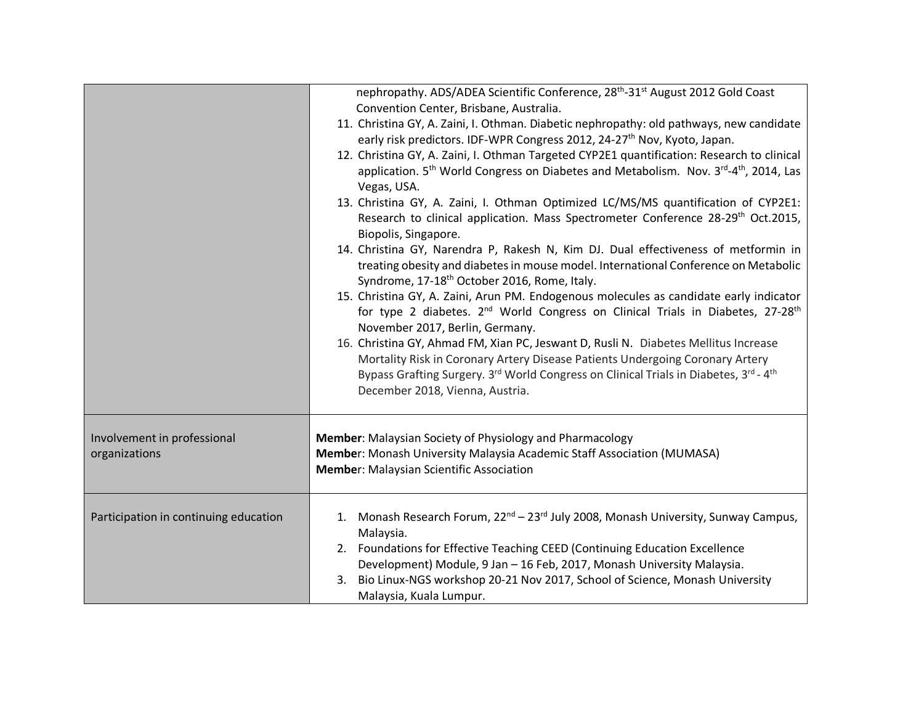|                                              | nephropathy. ADS/ADEA Scientific Conference, 28 <sup>th</sup> -31 <sup>st</sup> August 2012 Gold Coast<br>Convention Center, Brisbane, Australia.<br>11. Christina GY, A. Zaini, I. Othman. Diabetic nephropathy: old pathways, new candidate<br>early risk predictors. IDF-WPR Congress 2012, 24-27 <sup>th</sup> Nov, Kyoto, Japan.<br>12. Christina GY, A. Zaini, I. Othman Targeted CYP2E1 quantification: Research to clinical<br>application. 5 <sup>th</sup> World Congress on Diabetes and Metabolism. Nov. 3 <sup>rd</sup> -4 <sup>th</sup> , 2014, Las<br>Vegas, USA.<br>13. Christina GY, A. Zaini, I. Othman Optimized LC/MS/MS quantification of CYP2E1:<br>Research to clinical application. Mass Spectrometer Conference 28-29 <sup>th</sup> Oct.2015,<br>Biopolis, Singapore.<br>14. Christina GY, Narendra P, Rakesh N, Kim DJ. Dual effectiveness of metformin in<br>treating obesity and diabetes in mouse model. International Conference on Metabolic<br>Syndrome, 17-18 <sup>th</sup> October 2016, Rome, Italy.<br>15. Christina GY, A. Zaini, Arun PM. Endogenous molecules as candidate early indicator<br>for type 2 diabetes. 2 <sup>nd</sup> World Congress on Clinical Trials in Diabetes, 27-28 <sup>th</sup><br>November 2017, Berlin, Germany.<br>16. Christina GY, Ahmad FM, Xian PC, Jeswant D, Rusli N. Diabetes Mellitus Increase<br>Mortality Risk in Coronary Artery Disease Patients Undergoing Coronary Artery<br>Bypass Grafting Surgery. 3 <sup>rd</sup> World Congress on Clinical Trials in Diabetes, 3 <sup>rd</sup> - 4 <sup>th</sup><br>December 2018, Vienna, Austria. |
|----------------------------------------------|------------------------------------------------------------------------------------------------------------------------------------------------------------------------------------------------------------------------------------------------------------------------------------------------------------------------------------------------------------------------------------------------------------------------------------------------------------------------------------------------------------------------------------------------------------------------------------------------------------------------------------------------------------------------------------------------------------------------------------------------------------------------------------------------------------------------------------------------------------------------------------------------------------------------------------------------------------------------------------------------------------------------------------------------------------------------------------------------------------------------------------------------------------------------------------------------------------------------------------------------------------------------------------------------------------------------------------------------------------------------------------------------------------------------------------------------------------------------------------------------------------------------------------------------------------------------------------------------------------------------|
| Involvement in professional<br>organizations | Member: Malaysian Society of Physiology and Pharmacology<br>Member: Monash University Malaysia Academic Staff Association (MUMASA)<br><b>Member: Malaysian Scientific Association</b>                                                                                                                                                                                                                                                                                                                                                                                                                                                                                                                                                                                                                                                                                                                                                                                                                                                                                                                                                                                                                                                                                                                                                                                                                                                                                                                                                                                                                                  |
| Participation in continuing education        | 1. Monash Research Forum, 22 <sup>nd</sup> – 23 <sup>rd</sup> July 2008, Monash University, Sunway Campus,<br>Malaysia.<br>2. Foundations for Effective Teaching CEED (Continuing Education Excellence<br>Development) Module, 9 Jan - 16 Feb, 2017, Monash University Malaysia.<br>3. Bio Linux-NGS workshop 20-21 Nov 2017, School of Science, Monash University<br>Malaysia, Kuala Lumpur.                                                                                                                                                                                                                                                                                                                                                                                                                                                                                                                                                                                                                                                                                                                                                                                                                                                                                                                                                                                                                                                                                                                                                                                                                          |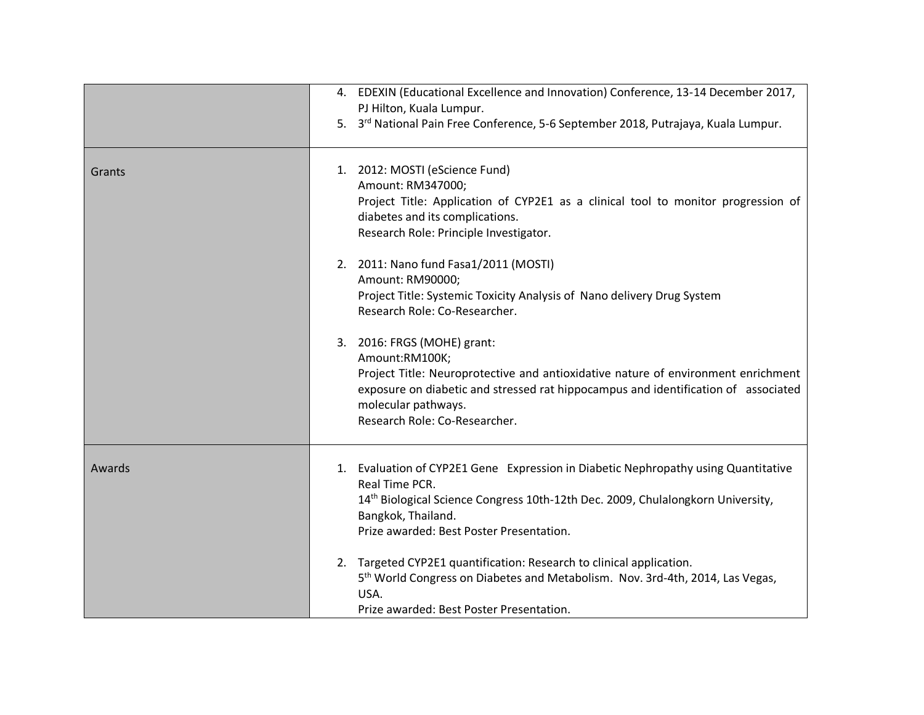|        | 4. EDEXIN (Educational Excellence and Innovation) Conference, 13-14 December 2017,<br>PJ Hilton, Kuala Lumpur.<br>5. 3 <sup>rd</sup> National Pain Free Conference, 5-6 September 2018, Putrajaya, Kuala Lumpur.                                                                 |
|--------|----------------------------------------------------------------------------------------------------------------------------------------------------------------------------------------------------------------------------------------------------------------------------------|
| Grants | 1. 2012: MOSTI (eScience Fund)<br>Amount: RM347000;<br>Project Title: Application of CYP2E1 as a clinical tool to monitor progression of<br>diabetes and its complications.<br>Research Role: Principle Investigator.                                                            |
|        | 2. 2011: Nano fund Fasa1/2011 (MOSTI)<br>Amount: RM90000;<br>Project Title: Systemic Toxicity Analysis of Nano delivery Drug System<br>Research Role: Co-Researcher.                                                                                                             |
|        | 3. 2016: FRGS (MOHE) grant:<br>Amount:RM100K;<br>Project Title: Neuroprotective and antioxidative nature of environment enrichment<br>exposure on diabetic and stressed rat hippocampus and identification of associated<br>molecular pathways.<br>Research Role: Co-Researcher. |
| Awards | 1. Evaluation of CYP2E1 Gene Expression in Diabetic Nephropathy using Quantitative<br>Real Time PCR.<br>14 <sup>th</sup> Biological Science Congress 10th-12th Dec. 2009, Chulalongkorn University,<br>Bangkok, Thailand.<br>Prize awarded: Best Poster Presentation.            |
|        | 2. Targeted CYP2E1 quantification: Research to clinical application.<br>5 <sup>th</sup> World Congress on Diabetes and Metabolism. Nov. 3rd-4th, 2014, Las Vegas,<br>USA.<br>Prize awarded: Best Poster Presentation.                                                            |